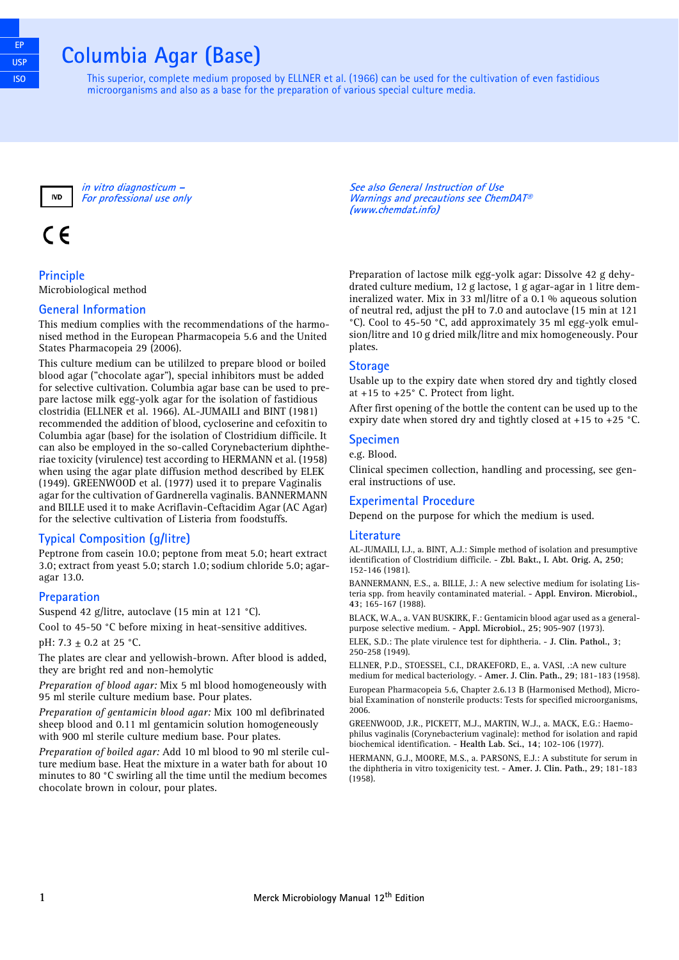## **Columbia Agar (Base)**

This superior, complete medium proposed by ELLNER et al. (1966) can be used for the cultivation of even fastidious microorganisms and also as a base for the preparation of various special culture media.



**in vitro diagnosticum – For professional use only**

# $\epsilon$

**Principle**

Microbiological method

#### **General Information**

This medium complies with the recommendations of the harmonised method in the European Pharmacopeia 5.6 and the United States Pharmacopeia 29 (2006).

This culture medium can be utililzed to prepare blood or boiled blood agar ("chocolate agar"), special inhibitors must be added for selective cultivation. Columbia agar base can be used to prepare lactose milk egg-yolk agar for the isolation of fastidious clostridia (ELLNER et al. 1966). AL-JUMAILI and BINT (1981) recommended the addition of blood, cycloserine and cefoxitin to Columbia agar (base) for the isolation of Clostridium difficile. It can also be employed in the so-called Corynebacterium diphtheriae toxicity (virulence) test according to HERMANN et al. (1958) when using the agar plate diffusion method described by ELEK (1949). GREENWOOD et al. (1977) used it to prepare Vaginalis agar for the cultivation of Gardnerella vaginalis. BANNERMANN and BILLE used it to make Acriflavin-Ceftacidim Agar (AC Agar) for the selective cultivation of Listeria from foodstuffs.

### **Typical Composition (g/litre)**

Peptrone from casein 10.0; peptone from meat 5.0; heart extract 3.0; extract from yeast 5.0; starch 1.0; sodium chloride 5.0; agaragar 13.0.

#### **Preparation**

Suspend 42 g/litre, autoclave (15 min at 121 °C).

Cool to 45-50 °C before mixing in heat-sensitive additives.

pH: 7.3 ± 0.2 at 25 °C.

The plates are clear and yellowish-brown. After blood is added, they are bright red and non-hemolytic

*Preparation of blood agar:* Mix 5 ml blood homogeneously with 95 ml sterile culture medium base. Pour plates.

*Preparation of gentamicin blood agar:* Mix 100 ml defibrinated sheep blood and 0.11 ml gentamicin solution homogeneously with 900 ml sterile culture medium base. Pour plates.

*Preparation of boiled agar:* Add 10 ml blood to 90 ml sterile culture medium base. Heat the mixture in a water bath for about 10 minutes to 80 °C swirling all the time until the medium becomes chocolate brown in colour, pour plates.

**See also General Instruction of Use Warnings and precautions see ChemDAT® (www.chemdat.info)** 

Preparation of lactose milk egg-yolk agar: Dissolve 42 g dehydrated culture medium, 12 g lactose, 1 g agar-agar in 1 litre demineralized water. Mix in 33 ml/litre of a 0.1 % aqueous solution of neutral red, adjust the pH to 7.0 and autoclave (15 min at 121 °C). Cool to 45-50 °C, add approximately 35 ml egg-yolk emulsion/litre and 10 g dried milk/litre and mix homogeneously. Pour plates.

#### **Storage**

Usable up to the expiry date when stored dry and tightly closed at +15 to +25° C. Protect from light.

After first opening of the bottle the content can be used up to the expiry date when stored dry and tightly closed at +15 to +25 °C.

#### **Specimen**

e.g. Blood.

Clinical specimen collection, handling and processing, see general instructions of use.

#### **Experimental Procedure**

Depend on the purpose for which the medium is used.

#### **Literature**

AL-JUMAILI, I.J., a. BINT, A.J.: Simple method of isolation and presumptive identification of Clostridium difficile. - **Zbl. Bakt., I. Abt. Orig. A, 250**; 152-146 (1981).

BANNERMANN, E.S., a. BILLE, J.: A new selective medium for isolating Listeria spp. from heavily contaminated material. - **Appl. Environ. Microbiol., 43**; 165-167 (1988).

BLACK, W.A., a. VAN BUSKIRK, F.: Gentamicin blood agar used as a generalpurpose selective medium. - **Appl. Microbiol., 25**; 905-907 (1973).

ELEK, S.D.: The plate virulence test for diphtheria. - **J. Clin. Pathol., 3**; 250-258 (1949).

ELLNER, P.D., STOESSEL, C.I., DRAKEFORD, E., a. VASI, .:A new culture medium for medical bacteriology. - **Amer. J. Clin. Path., 29**; 181-183 (1958).

European Pharmacopeia 5.6, Chapter 2.6.13 B (Harmonised Method), Microbial Examination of nonsterile products: Tests for specified microorganisms, 2006.

GREENWOOD, J.R., PICKETT, M.J., MARTIN, W.J., a. MACK, E.G.: Haemophilus vaginalis (Corynebacterium vaginale): method for isolation and rapid biochemical identification. - **Health Lab. Sci., 14**; 102-106 (1977).

HERMANN, G.J., MOORE, M.S., a. PARSONS, E.J.: A substitute for serum in the diphtheria in vitro toxigenicity test. - **Amer. J. Clin. Path., 29**; 181-183 (1958).